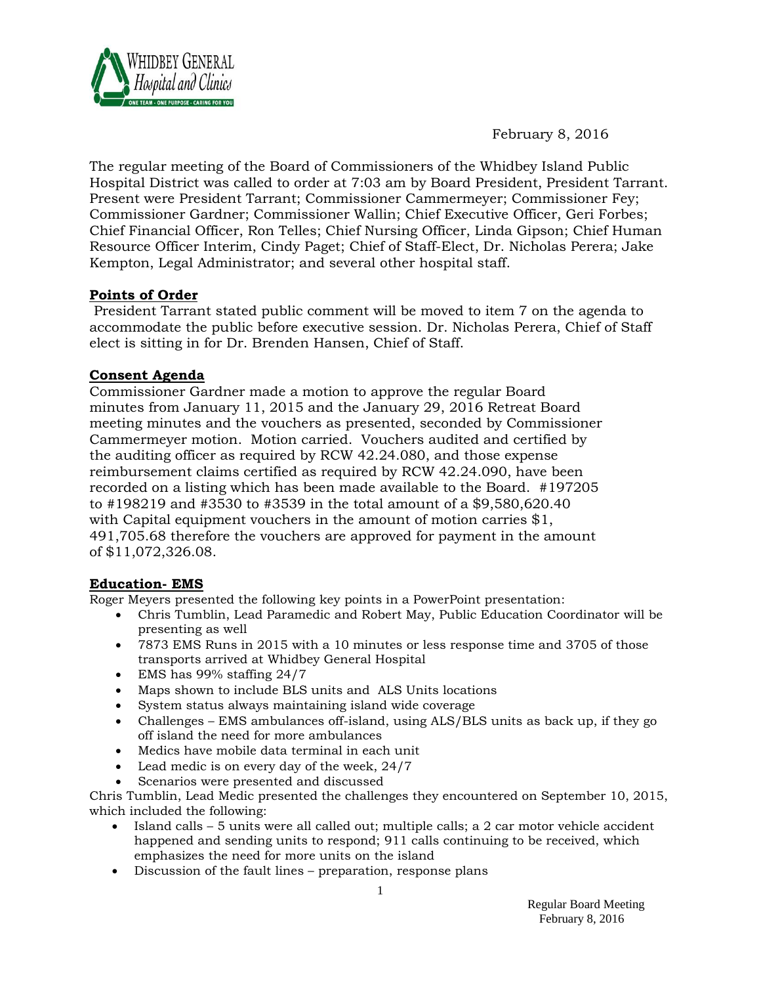

February 8, 2016

The regular meeting of the Board of Commissioners of the Whidbey Island Public Hospital District was called to order at 7:03 am by Board President, President Tarrant. Present were President Tarrant; Commissioner Cammermeyer; Commissioner Fey; Commissioner Gardner; Commissioner Wallin; Chief Executive Officer, Geri Forbes; Chief Financial Officer, Ron Telles; Chief Nursing Officer, Linda Gipson; Chief Human Resource Officer Interim, Cindy Paget; Chief of Staff-Elect, Dr. Nicholas Perera; Jake Kempton, Legal Administrator; and several other hospital staff.

## **Points of Order**

President Tarrant stated public comment will be moved to item 7 on the agenda to accommodate the public before executive session. Dr. Nicholas Perera, Chief of Staff elect is sitting in for Dr. Brenden Hansen, Chief of Staff.

## **Consent Agenda**

Commissioner Gardner made a motion to approve the regular Board minutes from January 11, 2015 and the January 29, 2016 Retreat Board meeting minutes and the vouchers as presented, seconded by Commissioner Cammermeyer motion. Motion carried. Vouchers audited and certified by the auditing officer as required by RCW 42.24.080, and those expense reimbursement claims certified as required by RCW 42.24.090, have been recorded on a listing which has been made available to the Board. #197205 to #198219 and #3530 to #3539 in the total amount of a \$9,580,620.40 with Capital equipment vouchers in the amount of motion carries \$1, 491,705.68 therefore the vouchers are approved for payment in the amount of \$11,072,326.08.

## **Education- EMS**

Roger Meyers presented the following key points in a PowerPoint presentation:

- Chris Tumblin, Lead Paramedic and Robert May, Public Education Coordinator will be presenting as well
- 7873 EMS Runs in 2015 with a 10 minutes or less response time and 3705 of those transports arrived at Whidbey General Hospital
- EMS has 99% staffing 24/7
- Maps shown to include BLS units and ALS Units locations
- System status always maintaining island wide coverage
- Challenges EMS ambulances off-island, using ALS/BLS units as back up, if they go off island the need for more ambulances
- Medics have mobile data terminal in each unit
- Lead medic is on every day of the week, 24/7
- Scenarios were presented and discussed

Chris Tumblin, Lead Medic presented the challenges they encountered on September 10, 2015, which included the following:

- Island calls 5 units were all called out; multiple calls; a 2 car motor vehicle accident happened and sending units to respond; 911 calls continuing to be received, which emphasizes the need for more units on the island
- Discussion of the fault lines preparation, response plans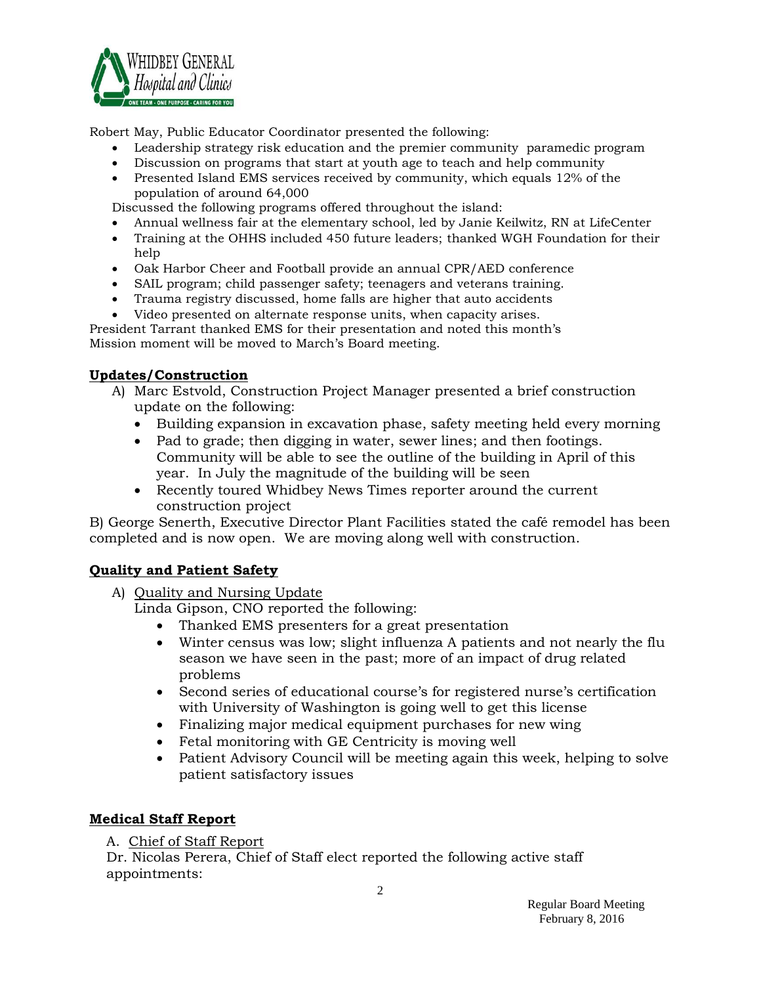

Robert May, Public Educator Coordinator presented the following:

- Leadership strategy risk education and the premier community paramedic program
- Discussion on programs that start at youth age to teach and help community
- Presented Island EMS services received by community, which equals 12% of the population of around 64,000

Discussed the following programs offered throughout the island:

- Annual wellness fair at the elementary school, led by Janie Keilwitz, RN at LifeCenter
- Training at the OHHS included 450 future leaders; thanked WGH Foundation for their help
- Oak Harbor Cheer and Football provide an annual CPR/AED conference
- SAIL program; child passenger safety; teenagers and veterans training.
- Trauma registry discussed, home falls are higher that auto accidents
- Video presented on alternate response units, when capacity arises.

President Tarrant thanked EMS for their presentation and noted this month's Mission moment will be moved to March's Board meeting.

## **Updates/Construction**

- A) Marc Estvold, Construction Project Manager presented a brief construction update on the following:
	- Building expansion in excavation phase, safety meeting held every morning
	- Pad to grade; then digging in water, sewer lines; and then footings. Community will be able to see the outline of the building in April of this year. In July the magnitude of the building will be seen
	- Recently toured Whidbey News Times reporter around the current construction project

B) George Senerth, Executive Director Plant Facilities stated the café remodel has been completed and is now open. We are moving along well with construction.

# **Quality and Patient Safety**

A) Quality and Nursing Update

Linda Gipson, CNO reported the following:

- Thanked EMS presenters for a great presentation
- Winter census was low; slight influenza A patients and not nearly the flu season we have seen in the past; more of an impact of drug related problems
- Second series of educational course's for registered nurse's certification with University of Washington is going well to get this license
- Finalizing major medical equipment purchases for new wing
- Fetal monitoring with GE Centricity is moving well
- Patient Advisory Council will be meeting again this week, helping to solve patient satisfactory issues

# **Medical Staff Report**

## A. Chief of Staff Report

Dr. Nicolas Perera, Chief of Staff elect reported the following active staff appointments: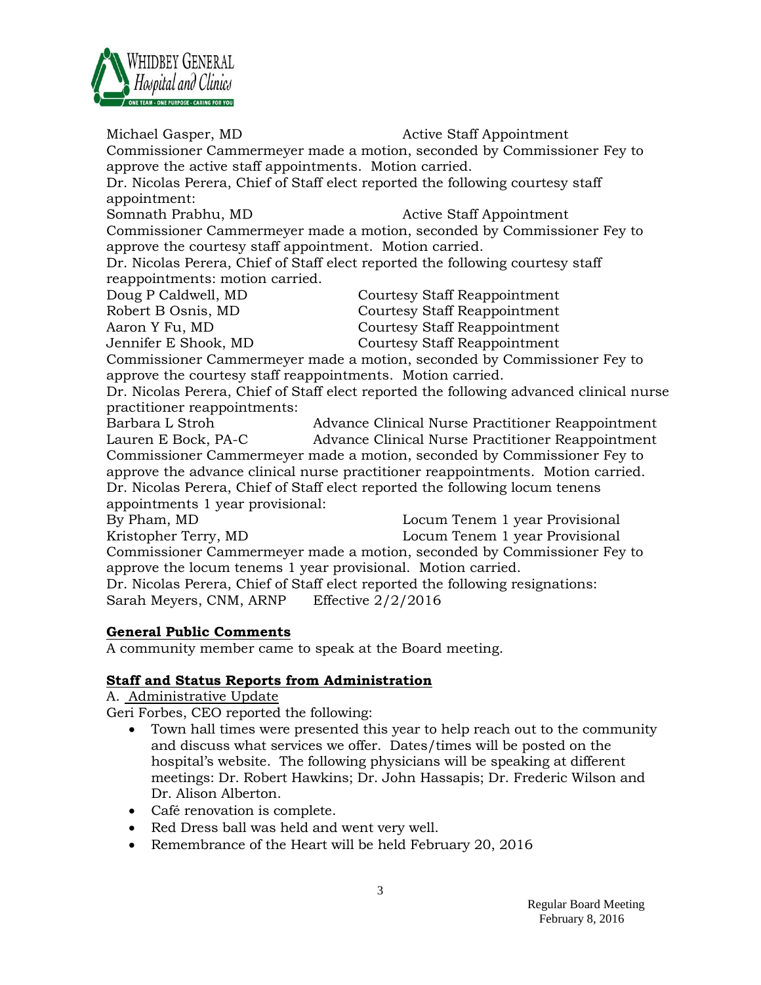

Michael Gasper, MD Active Staff Appointment Commissioner Cammermeyer made a motion, seconded by Commissioner Fey to approve the active staff appointments. Motion carried. Dr. Nicolas Perera, Chief of Staff elect reported the following courtesy staff appointment: Somnath Prabhu, MD Active Staff Appointment Commissioner Cammermeyer made a motion, seconded by Commissioner Fey to approve the courtesy staff appointment. Motion carried. Dr. Nicolas Perera, Chief of Staff elect reported the following courtesy staff reappointments: motion carried. Doug P Caldwell, MD Courtesy Staff Reappointment Robert B Osnis, MD Courtesy Staff Reappointment Aaron Y Fu, MD Courtesy Staff Reappointment Jennifer E Shook, MD Courtesy Staff Reappointment Commissioner Cammermeyer made a motion, seconded by Commissioner Fey to approve the courtesy staff reappointments. Motion carried. Dr. Nicolas Perera, Chief of Staff elect reported the following advanced clinical nurse practitioner reappointments: Barbara L Stroh Advance Clinical Nurse Practitioner Reappointment Lauren E Bock, PA-C Advance Clinical Nurse Practitioner Reappointment Commissioner Cammermeyer made a motion, seconded by Commissioner Fey to approve the advance clinical nurse practitioner reappointments. Motion carried. Dr. Nicolas Perera, Chief of Staff elect reported the following locum tenens appointments 1 year provisional: By Pham, MD Locum Tenem 1 year Provisional Kristopher Terry, MD **Locum Tenem 1 year Provisional** Commissioner Cammermeyer made a motion, seconded by Commissioner Fey to approve the locum tenems 1 year provisional. Motion carried. Dr. Nicolas Perera, Chief of Staff elect reported the following resignations: Sarah Meyers, CNM, ARNP Effective 2/2/2016

## **General Public Comments**

A community member came to speak at the Board meeting.

#### **Staff and Status Reports from Administration**

A. Administrative Update

Geri Forbes, CEO reported the following:

- Town hall times were presented this year to help reach out to the community and discuss what services we offer. Dates/times will be posted on the hospital's website. The following physicians will be speaking at different meetings: Dr. Robert Hawkins; Dr. John Hassapis; Dr. Frederic Wilson and Dr. Alison Alberton.
- Café renovation is complete.
- Red Dress ball was held and went very well.
- Remembrance of the Heart will be held February 20, 2016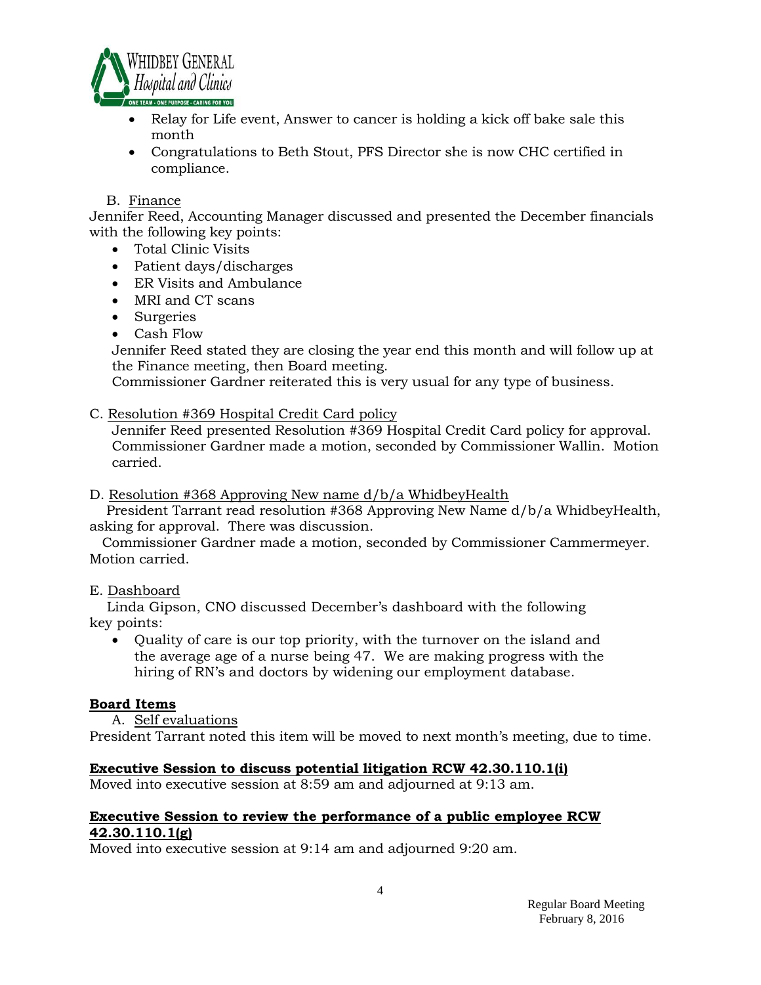

- Relay for Life event, Answer to cancer is holding a kick off bake sale this month
- Congratulations to Beth Stout, PFS Director she is now CHC certified in compliance.

### B. Finance

Jennifer Reed, Accounting Manager discussed and presented the December financials with the following key points:

- Total Clinic Visits
- Patient days/discharges
- ER Visits and Ambulance
- MRI and CT scans
- Surgeries
- Cash Flow

Jennifer Reed stated they are closing the year end this month and will follow up at the Finance meeting, then Board meeting.

Commissioner Gardner reiterated this is very usual for any type of business.

C. Resolution #369 Hospital Credit Card policy

Jennifer Reed presented Resolution #369 Hospital Credit Card policy for approval. Commissioner Gardner made a motion, seconded by Commissioner Wallin. Motion carried.

D. Resolution #368 Approving New name d/b/a WhidbeyHealth

President Tarrant read resolution #368 Approving New Name d/b/a WhidbeyHealth, asking for approval. There was discussion.

 Commissioner Gardner made a motion, seconded by Commissioner Cammermeyer. Motion carried.

## E. Dashboard

 Linda Gipson, CNO discussed December's dashboard with the following key points:

 Quality of care is our top priority, with the turnover on the island and the average age of a nurse being 47. We are making progress with the hiring of RN's and doctors by widening our employment database.

## **Board Items**

A. Self evaluations

President Tarrant noted this item will be moved to next month's meeting, due to time.

## **Executive Session to discuss potential litigation RCW 42.30.110.1(i)**

Moved into executive session at 8:59 am and adjourned at 9:13 am.

#### **Executive Session to review the performance of a public employee RCW 42.30.110.1(g)**

Moved into executive session at 9:14 am and adjourned 9:20 am.